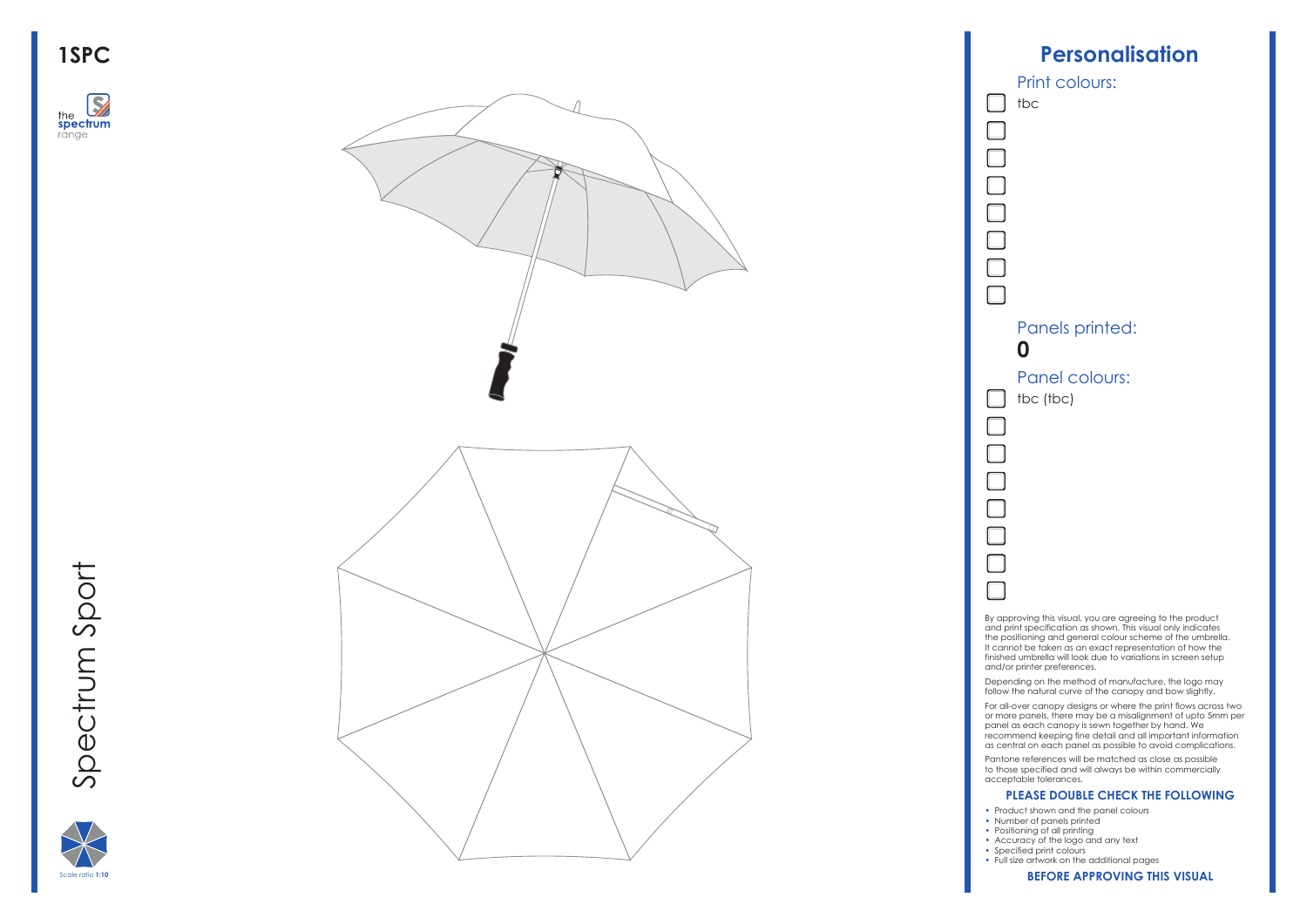







By approving this visual, you are agreeing to the product and print specification as shown. This visual only indicates the positioning and general colour scheme of the umbrella. It cannot be taken as an exact representation of how the finished umbrella will look due to variations in screen setup and/or printer preferences.

Depending on the method of manufacture, the logo may follow the natural curve of the canopy and bow slightly.

For all-over canopy designs or where the print flows across two or more panels, there may be a misalignment of upto 5mm per panel as each canopy is sewn together by hand. We recommend keeping fine detail and all important information as central on each panel as possible to avoid complications.

Pantone references will be matched as close as possible to those specified and will always be within commercially acceptable tolerances.

### **PLEASE DOUBLE CHECK THE FOLLOWING**

- Product shown and the panel colours
- Number of panels printed
- Positioning of all printing
- Accuracy of the logo and any text • Specified print colours
- Full size artwork on the additional pages

#### **BEFORE APPROVING THIS VISUAL**

### Panels printed: **0**

Panel colours: tbc (tbc)

### Print colours:

tbc

 $\overline{\phantom{a}}$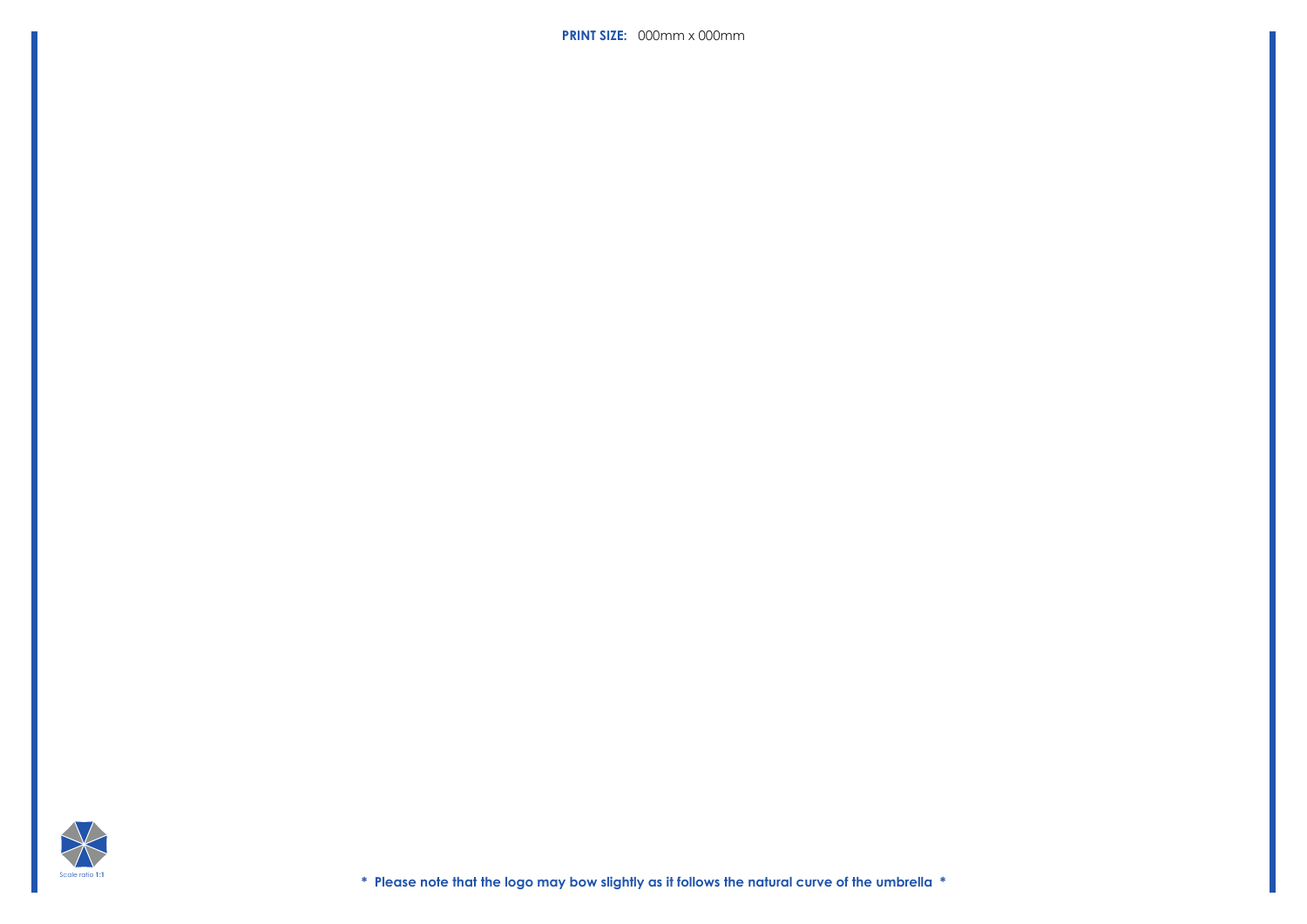**\* Please note that the logo may bow slightly as it follows the natural curve of the umbrella \***



**PRINT SIZE:** 000mm x 000mm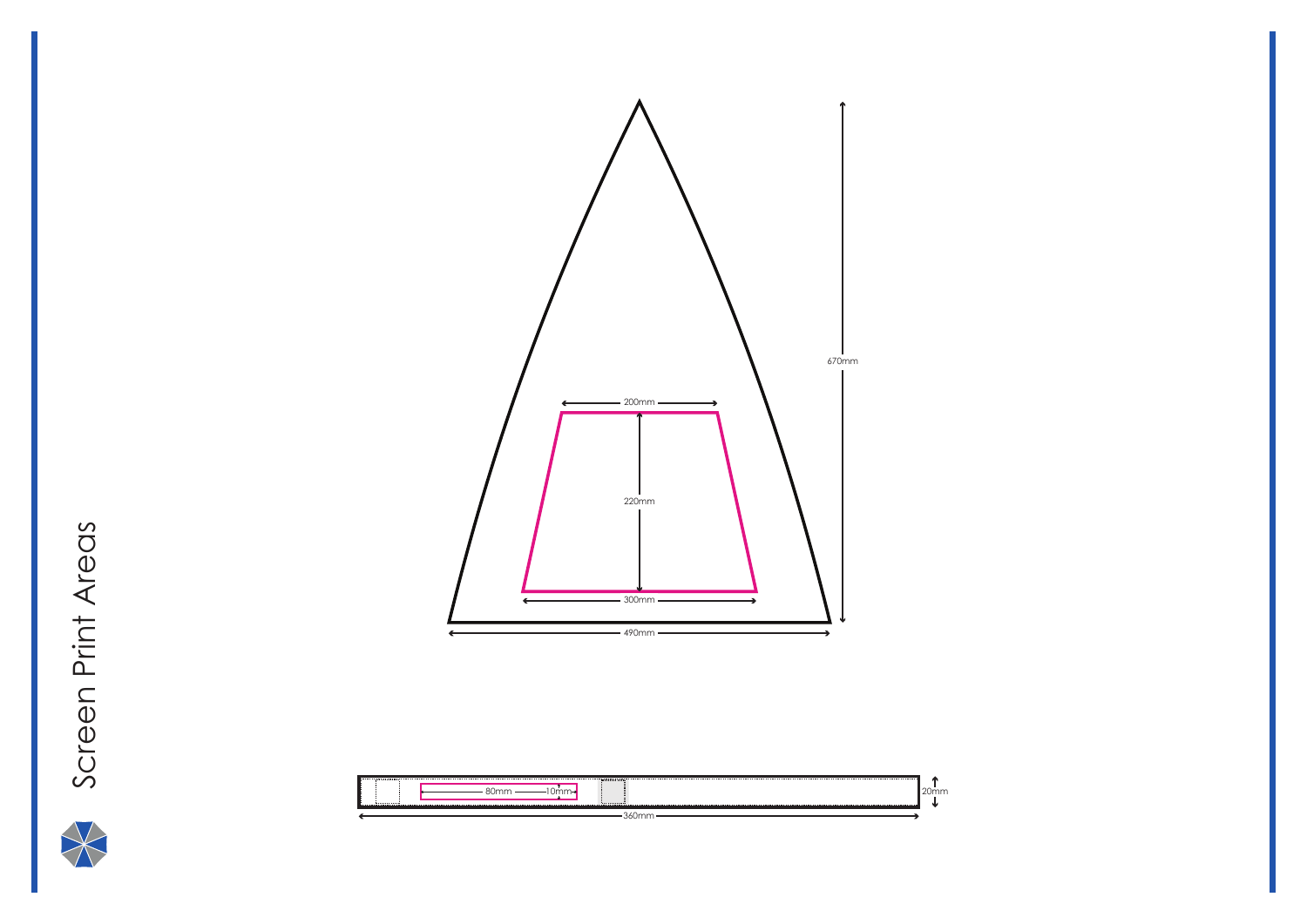